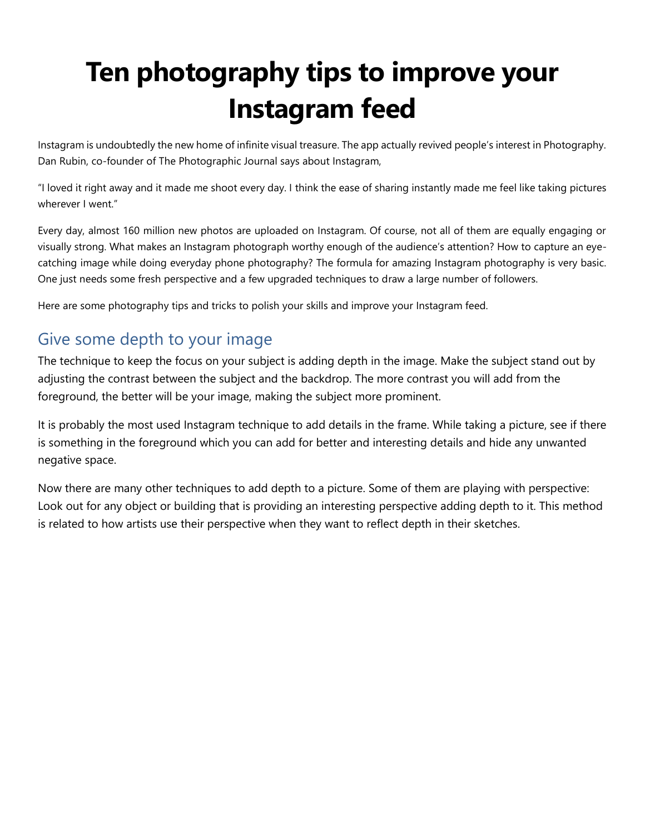# **Ten photography tips to improve your Instagram feed**

Instagram is undoubtedly the new home of infinite visual treasure. The app actually revived people's interest in Photography. Dan Rubin, co-founder of The Photographic Journal says about Instagram,

"I loved it right away and it made me shoot every day. I think the ease of sharing instantly made me feel like taking pictures wherever I went."

Every day, almost 160 million new photos are uploaded on Instagram. Of course, not all of them are equally engaging or visually strong. What makes an Instagram photograph worthy enough of the audience's attention? How to capture an eyecatching image while doing everyday phone photography? The formula for amazing Instagram photography is very basic. One just needs some fresh perspective and a few upgraded techniques to draw a large number of followers.

Here are some photography tips and tricks to polish your skills and improve your Instagram feed.

## Give some depth to your image

The technique to keep the focus on your subject is adding depth in the image. Make the subject stand out by adjusting the contrast between the subject and the backdrop. The more contrast you will add from the foreground, the better will be your image, making the subject more prominent.

It is probably the most used Instagram technique to add details in the frame. While taking a picture, see if there is something in the foreground which you can add for better and interesting details and hide any unwanted negative space.

Now there are many other techniques to add depth to a picture. Some of them are playing with perspective: Look out for any object or building that is providing an interesting perspective adding depth to it. This method is related to how artists use their perspective when they want to reflect depth in their sketches.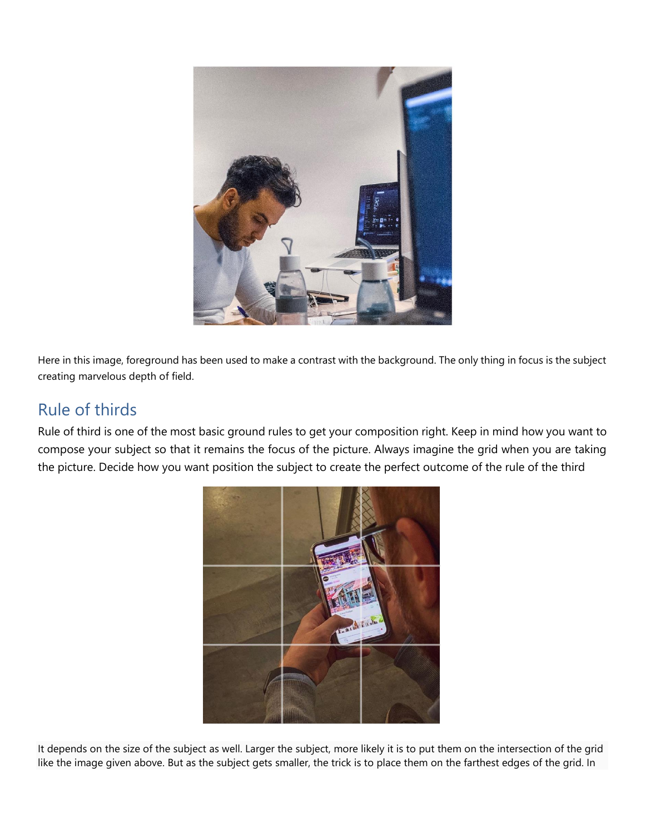

Here in this image, foreground has been used to make a contrast with the background. The only thing in focus is the subject creating marvelous depth of field.

### Rule of thirds

Rule of third is one of the most basic ground rules to get your composition right. Keep in mind how you want to compose your subject so that it remains the focus of the picture. Always imagine the grid when you are taking the picture. Decide how you want position the subject to create the perfect outcome of the rule of the third



It depends on the size of the subject as well. Larger the subject, more likely it is to put them on the intersection of the grid like the image given above. But as the subject gets smaller, the trick is to place them on the farthest edges of the grid. In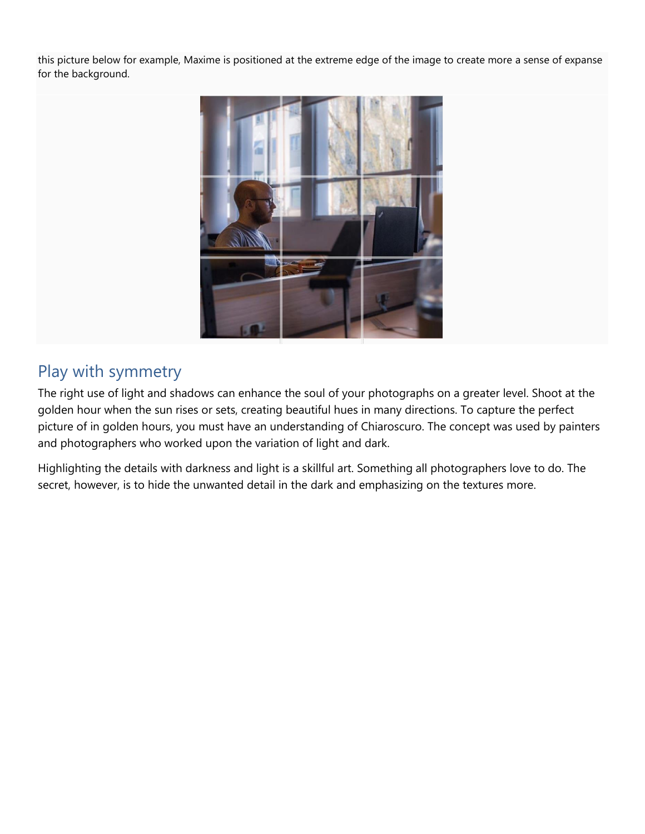this picture below for example, Maxime is positioned at the extreme edge of the image to create more a sense of expanse for the background.



## Play with symmetry

The right use of light and shadows can enhance the soul of your photographs on a greater level. Shoot at the golden hour when the sun rises or sets, creating beautiful hues in many directions. To capture the perfect picture of in golden hours, you must have an understanding of Chiaroscuro. The concept was used by painters and photographers who worked upon the variation of light and dark.

Highlighting the details with darkness and light is a skillful art. Something all photographers love to do. The secret, however, is to hide the unwanted detail in the dark and emphasizing on the textures more.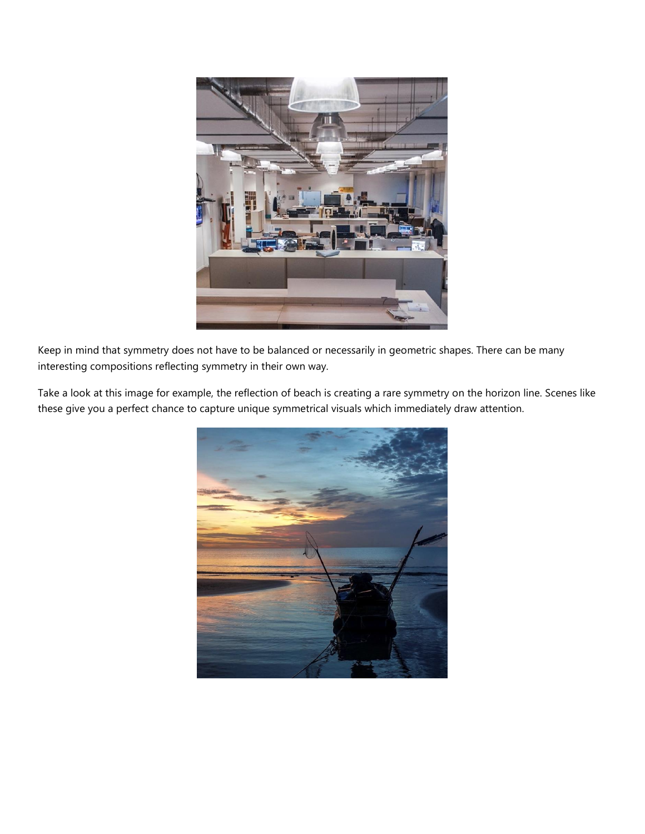

Keep in mind that symmetry does not have to be balanced or necessarily in geometric shapes. There can be many interesting compositions reflecting symmetry in their own way.

Take a look at this image for example, the reflection of beach is creating a rare symmetry on the horizon line. Scenes like these give you a perfect chance to capture unique symmetrical visuals which immediately draw attention.

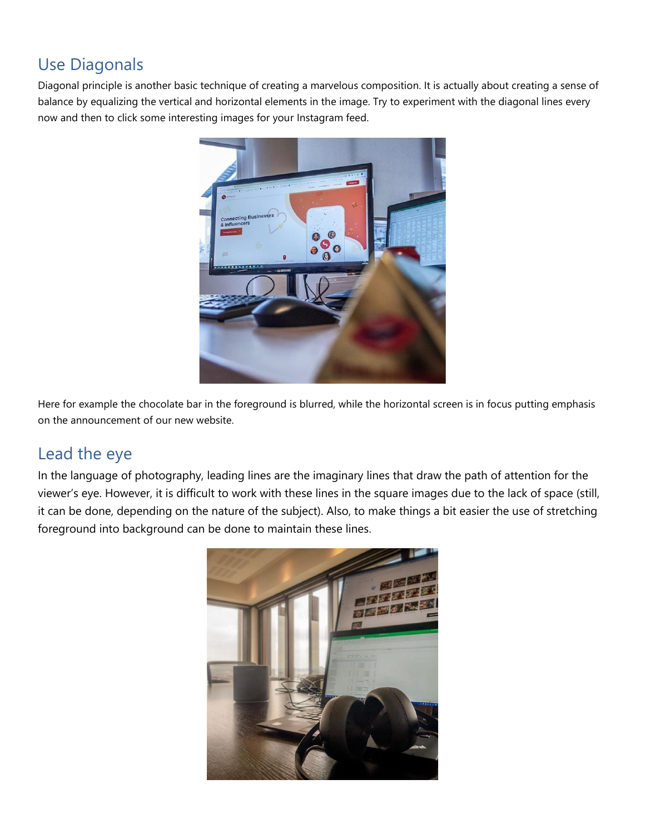## Use Diagonals

Diagonal principle is another basic technique of creating a marvelous composition. It is actually about creating a sense of balance by equalizing the vertical and horizontal elements in the image. Try to experiment with the diagonal lines every now and then to click some interesting images for your Instagram feed.



Here for example the chocolate bar in the foreground is blurred, while the horizontal screen is in focus putting emphasis on the announcement of our new website.

#### Lead the eye

In the language of photography, leading lines are the imaginary lines that draw the path of attention for the viewer's eye. However, it is difficult to work with these lines in the square images due to the lack of space (still, it can be done, depending on the nature of the subject). Also, to make things a bit easier the use of stretching foreground into background can be done to maintain these lines.

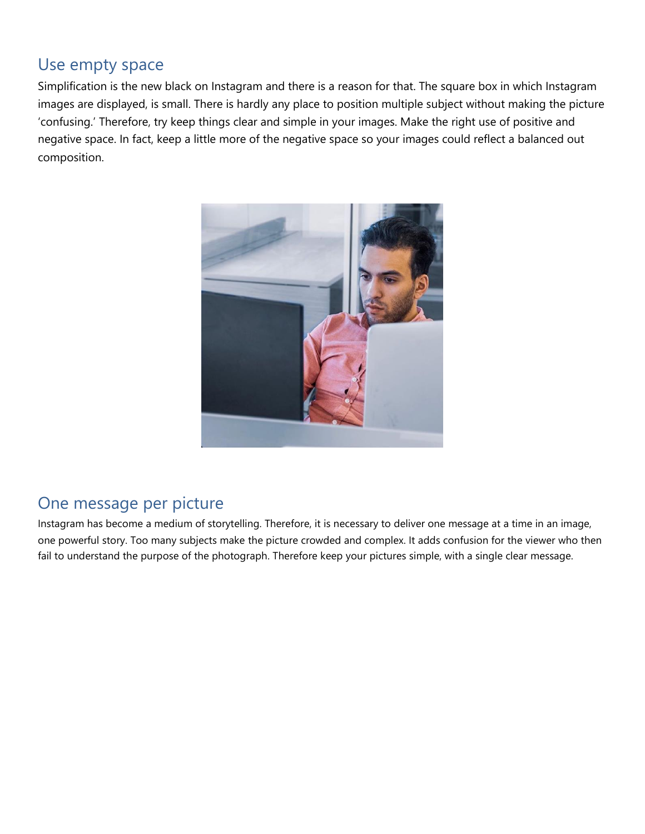#### Use empty space

Simplification is the new black on Instagram and there is a reason for that. The square box in which Instagram images are displayed, is small. There is hardly any place to position multiple subject without making the picture 'confusing.' Therefore, try keep things clear and simple in your images. Make the right use of positive and negative space. In fact, keep a little more of the negative space so your images could reflect a balanced out composition.



## One message per picture

Instagram has become a medium of storytelling. Therefore, it is necessary to deliver one message at a time in an image, one powerful story. Too many subjects make the picture crowded and complex. It adds confusion for the viewer who then fail to understand the purpose of the photograph. Therefore keep your pictures simple, with a single clear message.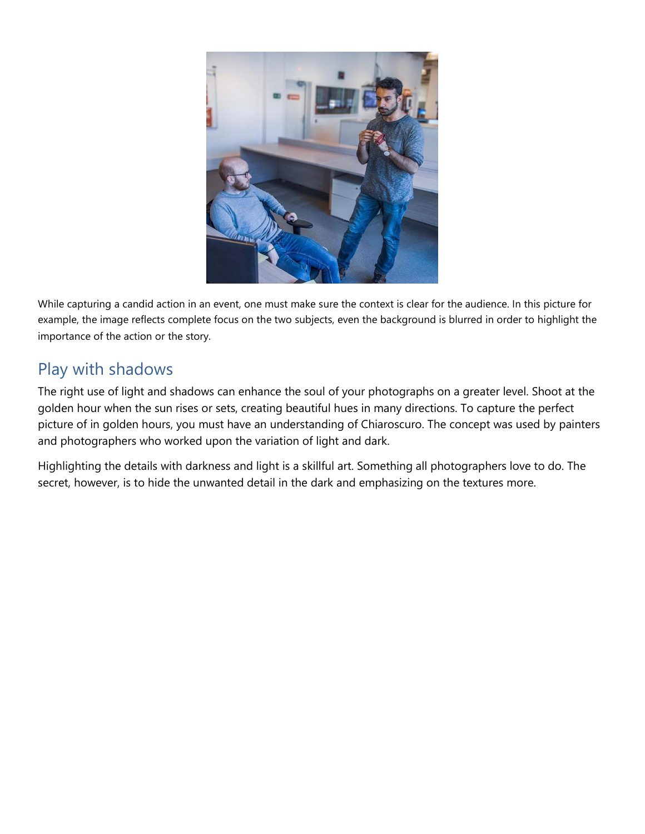

While capturing a candid action in an event, one must make sure the context is clear for the audience. In this picture for example, the image reflects complete focus on the two subjects, even the background is blurred in order to highlight the importance of the action or the story.

## Play with shadows

The right use of light and shadows can enhance the soul of your photographs on a greater level. Shoot at the golden hour when the sun rises or sets, creating beautiful hues in many directions. To capture the perfect picture of in golden hours, you must have an understanding of Chiaroscuro. The concept was used by painters and photographers who worked upon the variation of light and dark.

Highlighting the details with darkness and light is a skillful art. Something all photographers love to do. The secret, however, is to hide the unwanted detail in the dark and emphasizing on the textures more.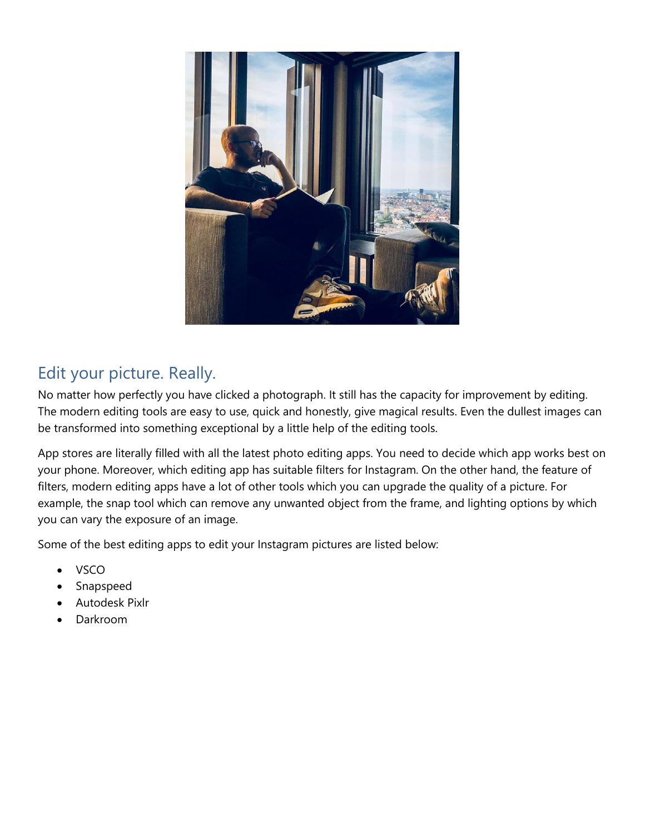

## Edit your picture. Really.

No matter how perfectly you have clicked a photograph. It still has the capacity for improvement by editing. The modern editing tools are easy to use, quick and honestly, give magical results. Even the dullest images can be transformed into something exceptional by a little help of the editing tools.

App stores are literally filled with all the latest photo editing apps. You need to decide which app works best on your phone. Moreover, which editing app has suitable filters for Instagram. On the other hand, the feature of filters, modern editing apps have a lot of other tools which you can upgrade the quality of a picture. For example, the snap tool which can remove any unwanted object from the frame, and lighting options by which you can vary the exposure of an image.

Some of the best editing apps to edit your Instagram pictures are listed below:

- VSCO
- Snapspeed
- Autodesk Pixlr
- Darkroom